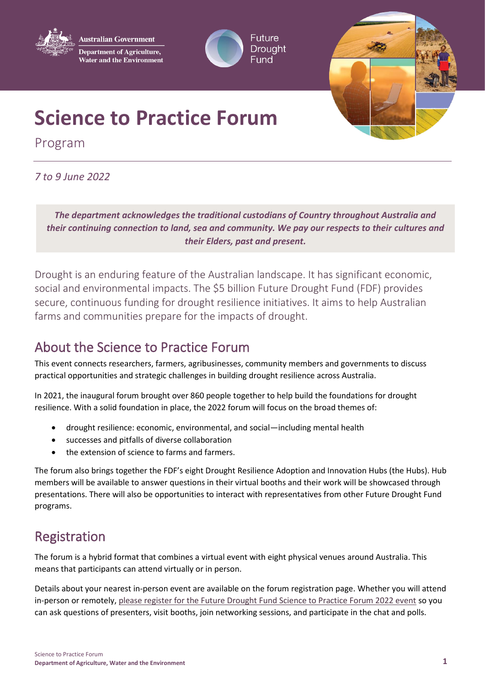

**Australian Government Department of Agriculture, Water and the Environment** 





# **Science to Practice Forum**

Program

### *7 to 9 June 2022*

*The department acknowledges the traditional custodians of Country throughout Australia and their continuing connection to land, sea and community. We pay our respects to their cultures and their Elders, past and present.*

Drought is an enduring feature of the Australian landscape. It has significant economic, social and environmental impacts. The \$5 billion Future Drought Fund (FDF) provides secure, continuous funding for drought resilience initiatives. It aims to help Australian farms and communities prepare for the impacts of drought.

### About the Science to Practice Forum

This event connects researchers, farmers, agribusinesses, community members and governments to discuss practical opportunities and strategic challenges in building drought resilience across Australia.

In 2021, the inaugural forum brought over 860 people together to help build the foundations for drought resilience. With a solid foundation in place, the 2022 forum will focus on the broad themes of:

- drought resilience: economic, environmental, and social—including mental health
- successes and pitfalls of diverse collaboration
- the extension of science to farms and farmers.

The forum also brings together the FDF's eight Drought Resilience Adoption and Innovation Hubs (the Hubs). Hub members will be available to answer questions in their virtual booths and their work will be showcased through presentations. There will also be opportunities to interact with representatives from other Future Drought Fund programs.

# Registration

The forum is a hybrid format that combines a virtual event with eight physical venues around Australia. This means that participants can attend virtually or in person.

Details about your nearest in-person event are available on the forum registration page. Whether you will attend in-person or remotely, [please register for the Future Drought Fund Science to Practice Forum 2022 event](https://hopin.com/events/future-drought-fund-science-to-practice-forum-2022/registration) so you can ask questions of presenters, visit booths, join networking sessions, and participate in the chat and polls.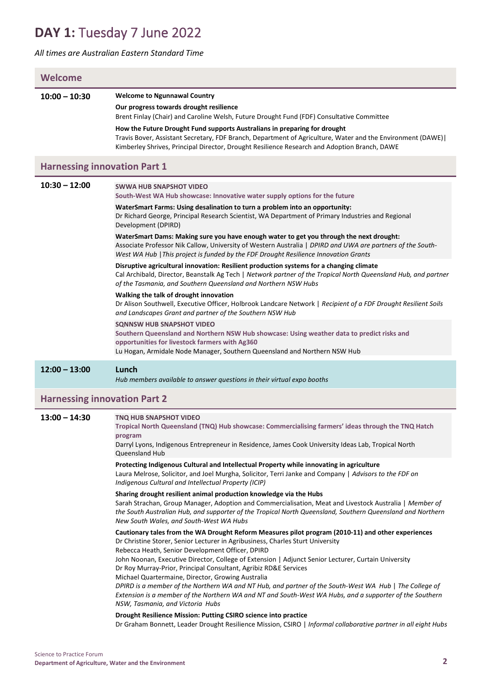## **DAY 1:** Tuesday 7 June 2022

#### *All times are Australian Eastern Standard Time*

| Welcome                             |                                                                                                                                                                                                                                                                                                                                                                                                                                                                                                                                                                                                                                                                                                                                                                                                      |  |  |
|-------------------------------------|------------------------------------------------------------------------------------------------------------------------------------------------------------------------------------------------------------------------------------------------------------------------------------------------------------------------------------------------------------------------------------------------------------------------------------------------------------------------------------------------------------------------------------------------------------------------------------------------------------------------------------------------------------------------------------------------------------------------------------------------------------------------------------------------------|--|--|
|                                     |                                                                                                                                                                                                                                                                                                                                                                                                                                                                                                                                                                                                                                                                                                                                                                                                      |  |  |
| $10:00 - 10:30$                     | <b>Welcome to Ngunnawal Country</b><br>Our progress towards drought resilience                                                                                                                                                                                                                                                                                                                                                                                                                                                                                                                                                                                                                                                                                                                       |  |  |
|                                     | Brent Finlay (Chair) and Caroline Welsh, Future Drought Fund (FDF) Consultative Committee                                                                                                                                                                                                                                                                                                                                                                                                                                                                                                                                                                                                                                                                                                            |  |  |
|                                     | How the Future Drought Fund supports Australians in preparing for drought<br>Travis Bover, Assistant Secretary, FDF Branch, Department of Agriculture, Water and the Environment (DAWE)  <br>Kimberley Shrives, Principal Director, Drought Resilience Research and Adoption Branch, DAWE                                                                                                                                                                                                                                                                                                                                                                                                                                                                                                            |  |  |
| <b>Harnessing innovation Part 1</b> |                                                                                                                                                                                                                                                                                                                                                                                                                                                                                                                                                                                                                                                                                                                                                                                                      |  |  |
| $10:30 - 12:00$                     | <b>SWWA HUB SNAPSHOT VIDEO</b><br>South-West WA Hub showcase: Innovative water supply options for the future                                                                                                                                                                                                                                                                                                                                                                                                                                                                                                                                                                                                                                                                                         |  |  |
|                                     | WaterSmart Farms: Using desalination to turn a problem into an opportunity:<br>Dr Richard George, Principal Research Scientist, WA Department of Primary Industries and Regional<br>Development (DPIRD)                                                                                                                                                                                                                                                                                                                                                                                                                                                                                                                                                                                              |  |  |
|                                     | WaterSmart Dams: Making sure you have enough water to get you through the next drought:<br>Associate Professor Nik Callow, University of Western Australia   DPIRD and UWA are partners of the South-<br>West WA Hub   This project is funded by the FDF Drought Resilience Innovation Grants                                                                                                                                                                                                                                                                                                                                                                                                                                                                                                        |  |  |
|                                     | Disruptive agricultural innovation: Resilient production systems for a changing climate<br>Cal Archibald, Director, Beanstalk Ag Tech   Network partner of the Tropical North Queensland Hub, and partner<br>of the Tasmania, and Southern Queensland and Northern NSW Hubs                                                                                                                                                                                                                                                                                                                                                                                                                                                                                                                          |  |  |
|                                     | Walking the talk of drought innovation<br>Dr Alison Southwell, Executive Officer, Holbrook Landcare Network   Recipient of a FDF Drought Resilient Soils<br>and Landscapes Grant and partner of the Southern NSW Hub                                                                                                                                                                                                                                                                                                                                                                                                                                                                                                                                                                                 |  |  |
|                                     | <b>SONNSW HUB SNAPSHOT VIDEO</b><br>Southern Queensland and Northern NSW Hub showcase: Using weather data to predict risks and<br>opportunities for livestock farmers with Ag360<br>Lu Hogan, Armidale Node Manager, Southern Queensland and Northern NSW Hub                                                                                                                                                                                                                                                                                                                                                                                                                                                                                                                                        |  |  |
| $12:00 - 13:00$                     | Lunch<br>Hub members available to answer questions in their virtual expo booths                                                                                                                                                                                                                                                                                                                                                                                                                                                                                                                                                                                                                                                                                                                      |  |  |
| <b>Harnessing innovation Part 2</b> |                                                                                                                                                                                                                                                                                                                                                                                                                                                                                                                                                                                                                                                                                                                                                                                                      |  |  |
| $13:00 - 14:30$                     | <b>TNQ HUB SNAPSHOT VIDEO</b><br>Tropical North Queensland (TNQ) Hub showcase: Commercialising farmers' ideas through the TNQ Hatch<br>program<br>Darryl Lyons, Indigenous Entrepreneur in Residence, James Cook University Ideas Lab, Tropical North<br>Queensland Hub                                                                                                                                                                                                                                                                                                                                                                                                                                                                                                                              |  |  |
|                                     | Protecting Indigenous Cultural and Intellectual Property while innovating in agriculture<br>Laura Melrose, Solicitor, and Joel Murgha, Solicitor, Terri Janke and Company   Advisors to the FDF on<br>Indigenous Cultural and Intellectual Property (ICIP)                                                                                                                                                                                                                                                                                                                                                                                                                                                                                                                                           |  |  |
|                                     | Sharing drought resilient animal production knowledge via the Hubs<br>Sarah Strachan, Group Manager, Adoption and Commercialisation, Meat and Livestock Australia   Member of<br>the South Australian Hub, and supporter of the Tropical North Queensland, Southern Queensland and Northern<br>New South Wales, and South-West WA Hubs                                                                                                                                                                                                                                                                                                                                                                                                                                                               |  |  |
|                                     | Cautionary tales from the WA Drought Reform Measures pilot program (2010-11) and other experiences<br>Dr Christine Storer, Senior Lecturer in Agribusiness, Charles Sturt University<br>Rebecca Heath, Senior Development Officer, DPIRD<br>John Noonan, Executive Director, College of Extension   Adjunct Senior Lecturer, Curtain University<br>Dr Roy Murray-Prior, Principal Consultant, Agribiz RD&E Services<br>Michael Quartermaine, Director, Growing Australia<br>DPIRD is a member of the Northern WA and NT Hub, and partner of the South-West WA Hub   The College of<br>Extension is a member of the Northern WA and NT and South-West WA Hubs, and a supporter of the Southern<br>NSW, Tasmania, and Victoria Hubs<br>Drought Resilience Mission: Putting CSIRO science into practice |  |  |

Dr Graham Bonnett, Leader Drought Resilience Mission, CSIRO | *Informal collaborative partner in all eight Hubs*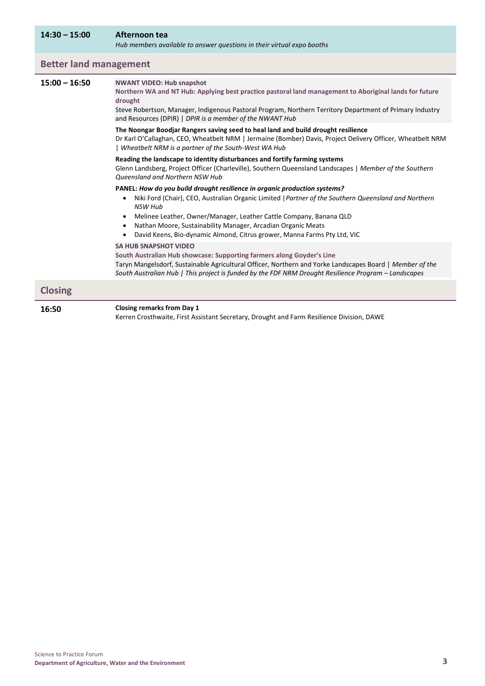#### **14:30 – 15:00 Afternoon tea**

*Hub members available to answer questions in their virtual expo booths*

#### **Better land management**

#### **15:00 – 16:50 NWANT VIDEO: Hub snapshot**

**Northern WA and NT Hub: Applying best practice pastoral land management to Aboriginal lands for future drought**  Steve Robertson, Manager, Indigenous Pastoral Program, Northern Territory Department of Primary Industry and Resources (DPIR) | *DPIR is a member of the NWANT Hub* **The Noongar Boodjar Rangers saving seed to heal land and build drought resilience** Dr Karl O'Callaghan, CEO, Wheatbelt NRM | Jermaine (Bomber) Davis, Project Delivery Officer, Wheatbelt NRM | *Wheatbelt NRM is a partner of the South-West WA Hub* **Reading the landscape to identity disturbances and fortify farming systems**  Glenn Landsberg, Project Officer (Charleville), Southern Queensland Landscapes | *Member of the Southern Queensland and Northern NSW Hub* **PANEL:** *How do you build drought resilience in organic production systems?*  • Niki Ford (Chair), CEO, Australian Organic Limited |*Partner of the Southern Queensland and Northern NSW Hub* • Melinee Leather, Owner/Manager, Leather Cattle Company, Banana QLD • Nathan Moore, Sustainability Manager, Arcadian Organic Meats • David Keens, Bio-dynamic Almond, Citrus grower, Manna Farms Pty Ltd, VIC **SA HUB SNAPSHOT VIDEO South Australian Hub showcase: Supporting farmers along Goyder's Line**  Taryn Mangelsdorf, Sustainable Agricultural Officer, Northern and Yorke Landscapes Board | *Member of the South Australian Hub | This project is funded by the FDF NRM Drought Resilience Program – Landscapes* **Closing 16:50 Closing remarks from Day 1** Kerren Crosthwaite, First Assistant Secretary, Drought and Farm Resilience Division, DAWE

Science to Practice Forum **Department of Agriculture, Water and the Environment 3**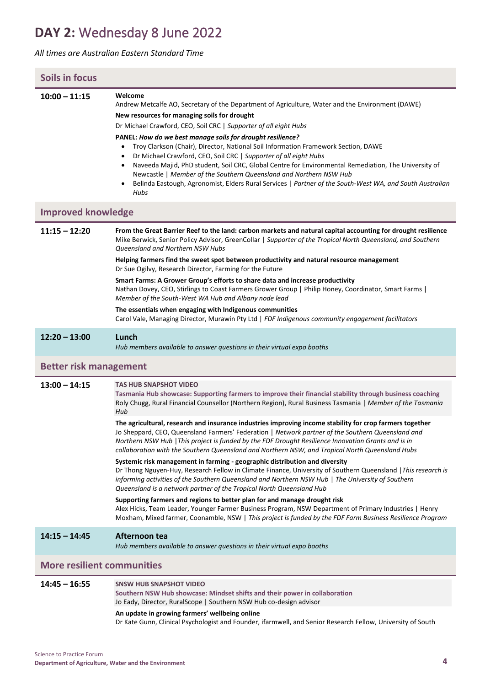# **DAY 2:** Wednesday 8 June 2022

#### *All times are Australian Eastern Standard Time*

| <b>Soils in focus</b>             |                                                                                                                                                                                                                                                                                                                                                                                                                                                                                                                                                                                                                                                                                                                                                                                                                                                                                                                                                                                                                                                                                                                                                                                                                                                                                                                                                                            |  |
|-----------------------------------|----------------------------------------------------------------------------------------------------------------------------------------------------------------------------------------------------------------------------------------------------------------------------------------------------------------------------------------------------------------------------------------------------------------------------------------------------------------------------------------------------------------------------------------------------------------------------------------------------------------------------------------------------------------------------------------------------------------------------------------------------------------------------------------------------------------------------------------------------------------------------------------------------------------------------------------------------------------------------------------------------------------------------------------------------------------------------------------------------------------------------------------------------------------------------------------------------------------------------------------------------------------------------------------------------------------------------------------------------------------------------|--|
| $10:00 - 11:15$                   | Welcome<br>Andrew Metcalfe AO, Secretary of the Department of Agriculture, Water and the Environment (DAWE)<br>New resources for managing soils for drought<br>Dr Michael Crawford, CEO, Soil CRC   Supporter of all eight Hubs<br>PANEL: How do we best manage soils for drought resilience?<br>Troy Clarkson (Chair), Director, National Soil Information Framework Section, DAWE<br>$\bullet$<br>Dr Michael Crawford, CEO, Soil CRC   Supporter of all eight Hubs<br>$\bullet$<br>Naveeda Majid, PhD student, Soil CRC, Global Centre for Environmental Remediation, The University of<br>$\bullet$<br>Newcastle   Member of the Southern Queensland and Northern NSW Hub<br>Belinda Eastough, Agronomist, Elders Rural Services   Partner of the South-West WA, and South Australian<br>$\bullet$<br>Hubs                                                                                                                                                                                                                                                                                                                                                                                                                                                                                                                                                              |  |
| <b>Improved knowledge</b>         |                                                                                                                                                                                                                                                                                                                                                                                                                                                                                                                                                                                                                                                                                                                                                                                                                                                                                                                                                                                                                                                                                                                                                                                                                                                                                                                                                                            |  |
| $11:15 - 12:20$                   | From the Great Barrier Reef to the land: carbon markets and natural capital accounting for drought resilience<br>Mike Berwick, Senior Policy Advisor, GreenCollar   Supporter of the Tropical North Queensland, and Southern<br>Queensland and Northern NSW Hubs<br>Helping farmers find the sweet spot between productivity and natural resource management<br>Dr Sue Ogilvy, Research Director, Farming for the Future<br>Smart Farms: A Grower Group's efforts to share data and increase productivity<br>Nathan Dovey, CEO, Stirlings to Coast Farmers Grower Group   Philip Honey, Coordinator, Smart Farms  <br>Member of the South-West WA Hub and Albany node lead<br>The essentials when engaging with Indigenous communities<br>Carol Vale, Managing Director, Murawin Pty Ltd   FDF Indigenous community engagement facilitators                                                                                                                                                                                                                                                                                                                                                                                                                                                                                                                                |  |
| $12:20 - 13:00$                   | Lunch<br>Hub members available to answer questions in their virtual expo booths                                                                                                                                                                                                                                                                                                                                                                                                                                                                                                                                                                                                                                                                                                                                                                                                                                                                                                                                                                                                                                                                                                                                                                                                                                                                                            |  |
| <b>Better risk management</b>     |                                                                                                                                                                                                                                                                                                                                                                                                                                                                                                                                                                                                                                                                                                                                                                                                                                                                                                                                                                                                                                                                                                                                                                                                                                                                                                                                                                            |  |
| $13:00 - 14:15$                   | <b>TAS HUB SNAPSHOT VIDEO</b><br>Tasmania Hub showcase: Supporting farmers to improve their financial stability through business coaching<br>Roly Chugg, Rural Financial Counsellor (Northern Region), Rural Business Tasmania   Member of the Tasmania<br>Hub<br>The agricultural, research and insurance industries improving income stability for crop farmers together<br>Jo Sheppard, CEO, Queensland Farmers' Federation   Network partner of the Southern Queensland and<br>Northern NSW Hub   This project is funded by the FDF Drought Resilience Innovation Grants and is in<br>collaboration with the Southern Queensland and Northern NSW, and Tropical North Queensland Hubs<br>Systemic risk management in farming - geographic distribution and diversity<br>Dr Thong Nguyen-Huy, Research Fellow in Climate Finance, University of Southern Queensland   This research is<br>informing activities of the Southern Queensland and Northern NSW Hub   The University of Southern<br>Queensland is a network partner of the Tropical North Queensland Hub<br>Supporting farmers and regions to better plan for and manage drought risk<br>Alex Hicks, Team Leader, Younger Farmer Business Program, NSW Department of Primary Industries   Henry<br>Moxham, Mixed farmer, Coonamble, NSW   This project is funded by the FDF Farm Business Resilience Program |  |
| $14:15 - 14:45$                   | Afternoon tea<br>Hub members available to answer questions in their virtual expo booths                                                                                                                                                                                                                                                                                                                                                                                                                                                                                                                                                                                                                                                                                                                                                                                                                                                                                                                                                                                                                                                                                                                                                                                                                                                                                    |  |
| <b>More resilient communities</b> |                                                                                                                                                                                                                                                                                                                                                                                                                                                                                                                                                                                                                                                                                                                                                                                                                                                                                                                                                                                                                                                                                                                                                                                                                                                                                                                                                                            |  |
| $14:45 - 16:55$                   | <b>SNSW HUB SNAPSHOT VIDEO</b><br>Southern NSW Hub showcase: Mindset shifts and their power in collaboration<br>Jo Eady, Director, RuralScope   Southern NSW Hub co-design advisor<br>An update in growing farmers' wellbeing online<br>Dr Kate Gunn, Clinical Psychologist and Founder, ifarmwell, and Senior Research Fellow, University of South                                                                                                                                                                                                                                                                                                                                                                                                                                                                                                                                                                                                                                                                                                                                                                                                                                                                                                                                                                                                                        |  |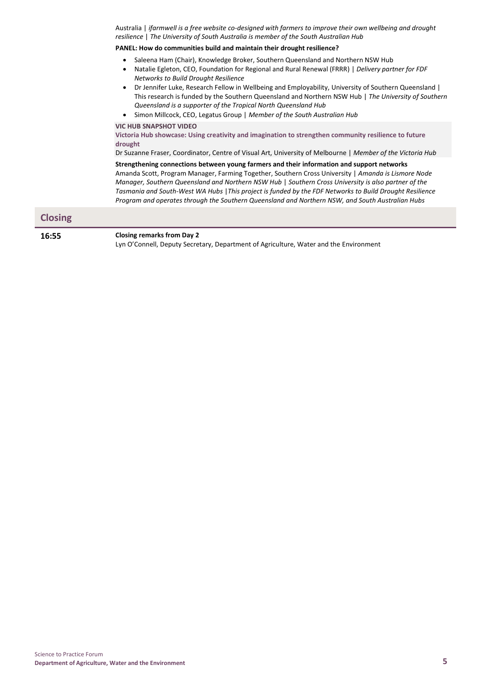Australia | *ifarmwell is a free website co-designed with farmers to improve their own wellbeing and drought resilience* | *The University of South Australia is member of the South Australian Hub* 

#### **PANEL: How do communities build and maintain their drought resilience?**

- Saleena Ham (Chair), Knowledge Broker, Southern Queensland and Northern NSW Hub
- Natalie Egleton, CEO, Foundation for Regional and Rural Renewal (FRRR) | *Delivery partner for FDF Networks to Build Drought Resilience*
- Dr Jennifer Luke, Research Fellow in Wellbeing and Employability, University of Southern Queensland | This research is funded by the Southern Queensland and Northern NSW Hub | *The University of Southern Queensland is a supporter of the Tropical North Queensland Hub*
- Simon Millcock, CEO, Legatus Group | *Member of the South Australian Hub*

**VIC HUB SNAPSHOT VIDEO** 

**Victoria Hub showcase: Using creativity and imagination to strengthen community resilience to future drought** 

Dr Suzanne Fraser, Coordinator, Centre of Visual Art, University of Melbourne | *Member of the Victoria Hub* 

**Strengthening connections between young farmers and their information and support networks**  Amanda Scott, Program Manager, Farming Together, Southern Cross University | *Amanda is Lismore Node Manager, Southern Queensland and Northern NSW Hub* | *Southern Cross University is also partner of the Tasmania and South-West WA Hubs* |*This project is funded by the FDF Networks to Build Drought Resilience Program and operates through the Southern Queensland and Northern NSW, and South Australian Hubs*

| <b>Closing</b> |  |
|----------------|--|
|                |  |
|                |  |

**16:55 Closing remarks from Day 2**

Lyn O'Connell, Deputy Secretary, Department of Agriculture, Water and the Environment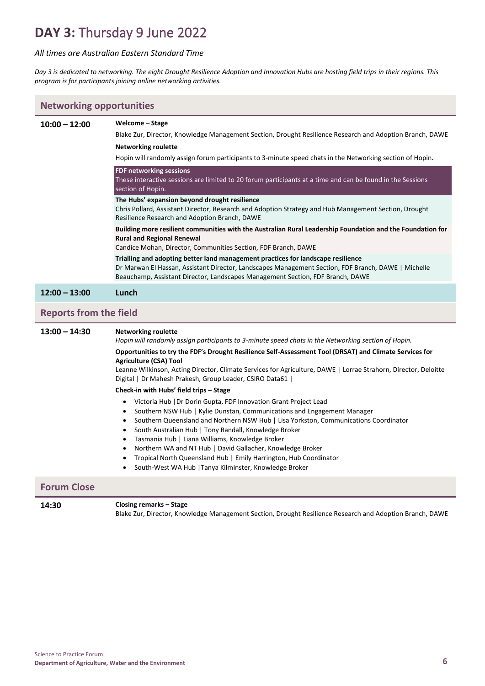## **DAY 3:** Thursday 9 June 2022

#### *All times are Australian Eastern Standard Time*

*Day 3 is dedicated to networking. The eight Drought Resilience Adoption and Innovation Hubs are hosting field trips in their regions. This program is for participants joining online networking activities.*

| <b>Networking opportunities</b> |                                                                                                                                                                                                                                                                                                                                                                                                                                                                                                                                                                                                                                                                                                                                                                                                                                                                                                                                                                                                                                                                                                                                        |  |
|---------------------------------|----------------------------------------------------------------------------------------------------------------------------------------------------------------------------------------------------------------------------------------------------------------------------------------------------------------------------------------------------------------------------------------------------------------------------------------------------------------------------------------------------------------------------------------------------------------------------------------------------------------------------------------------------------------------------------------------------------------------------------------------------------------------------------------------------------------------------------------------------------------------------------------------------------------------------------------------------------------------------------------------------------------------------------------------------------------------------------------------------------------------------------------|--|
| $10:00 - 12:00$                 | Welcome – Stage<br>Blake Zur, Director, Knowledge Management Section, Drought Resilience Research and Adoption Branch, DAWE<br><b>Networking roulette</b><br>Hopin will randomly assign forum participants to 3-minute speed chats in the Networking section of Hopin.<br><b>FDF networking sessions</b><br>These interactive sessions are limited to 20 forum participants at a time and can be found in the Sessions<br>section of Hopin.<br>The Hubs' expansion beyond drought resilience<br>Chris Pollard, Assistant Director, Research and Adoption Strategy and Hub Management Section, Drought<br>Resilience Research and Adoption Branch, DAWE<br>Building more resilient communities with the Australian Rural Leadership Foundation and the Foundation for<br><b>Rural and Regional Renewal</b>                                                                                                                                                                                                                                                                                                                              |  |
|                                 | Candice Mohan, Director, Communities Section, FDF Branch, DAWE<br>Trialling and adopting better land management practices for landscape resilience                                                                                                                                                                                                                                                                                                                                                                                                                                                                                                                                                                                                                                                                                                                                                                                                                                                                                                                                                                                     |  |
|                                 | Dr Marwan El Hassan, Assistant Director, Landscapes Management Section, FDF Branch, DAWE   Michelle<br>Beauchamp, Assistant Director, Landscapes Management Section, FDF Branch, DAWE                                                                                                                                                                                                                                                                                                                                                                                                                                                                                                                                                                                                                                                                                                                                                                                                                                                                                                                                                  |  |
| $12:00 - 13:00$                 | Lunch                                                                                                                                                                                                                                                                                                                                                                                                                                                                                                                                                                                                                                                                                                                                                                                                                                                                                                                                                                                                                                                                                                                                  |  |
| <b>Reports from the field</b>   |                                                                                                                                                                                                                                                                                                                                                                                                                                                                                                                                                                                                                                                                                                                                                                                                                                                                                                                                                                                                                                                                                                                                        |  |
| $13:00 - 14:30$                 | <b>Networking roulette</b><br>Hopin will randomly assign participants to 3-minute speed chats in the Networking section of Hopin.<br>Opportunities to try the FDF's Drought Resilience Self-Assessment Tool (DRSAT) and Climate Services for<br><b>Agriculture (CSA) Tool</b><br>Leanne Wilkinson, Acting Director, Climate Services for Agriculture, DAWE   Lorrae Strahorn, Director, Deloitte<br>Digital   Dr Mahesh Prakesh, Group Leader, CSIRO Data61  <br>Check-in with Hubs' field trips - Stage<br>Victoria Hub   Dr Dorin Gupta, FDF Innovation Grant Project Lead<br>Southern NSW Hub   Kylie Dunstan, Communications and Engagement Manager<br>$\bullet$<br>Southern Queensland and Northern NSW Hub   Lisa Yorkston, Communications Coordinator<br>$\bullet$<br>South Australian Hub   Tony Randall, Knowledge Broker<br>$\bullet$<br>Tasmania Hub   Liana Williams, Knowledge Broker<br>$\bullet$<br>Northern WA and NT Hub   David Gallacher, Knowledge Broker<br>$\bullet$<br>Tropical North Queensland Hub   Emily Harrington, Hub Coordinator<br>$\bullet$<br>South-West WA Hub   Tanya Kilminster, Knowledge Broker |  |
| <b>Forum Close</b>              |                                                                                                                                                                                                                                                                                                                                                                                                                                                                                                                                                                                                                                                                                                                                                                                                                                                                                                                                                                                                                                                                                                                                        |  |
| 14:30                           | Closing remarks – Stage                                                                                                                                                                                                                                                                                                                                                                                                                                                                                                                                                                                                                                                                                                                                                                                                                                                                                                                                                                                                                                                                                                                |  |

Blake Zur, Director, Knowledge Management Section, Drought Resilience Research and Adoption Branch, DAWE